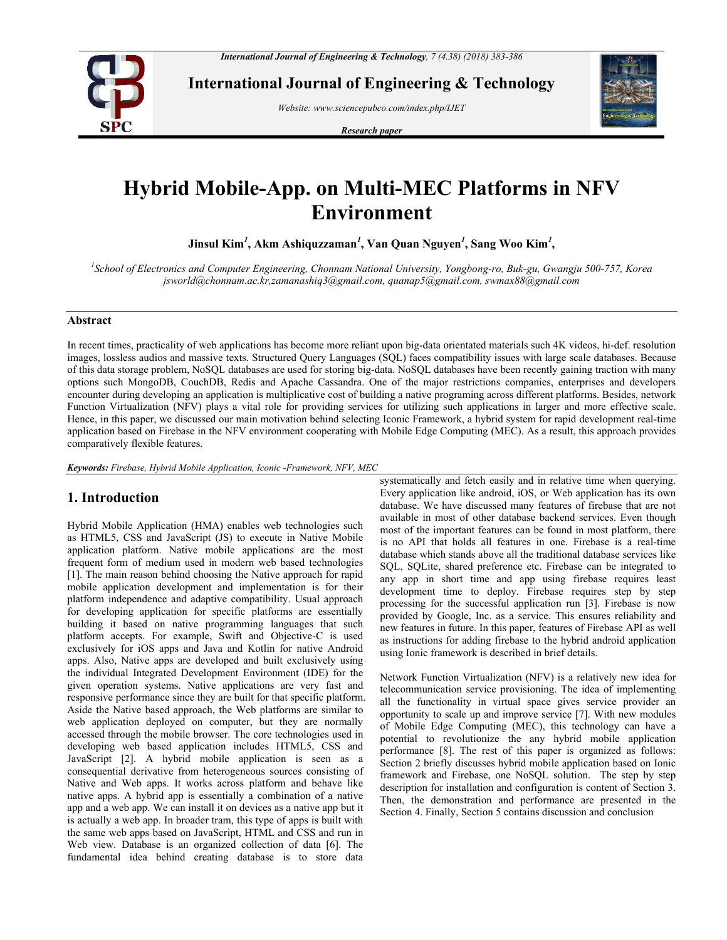

**International Journal of Engineering & Technology**

*Website[: www.sciencepubco.com/index.php/IJET](http://www.sciencepubco.com/index.php/IJET)*

*Research paper*



# **Hybrid Mobile-App. on Multi-MEC Platforms in NFV Environment**

**Jinsul Kim***<sup>1</sup>* **, Akm Ashiquzzaman***<sup>1</sup>* **, Van Quan Nguyen***<sup>1</sup>* **, Sang Woo Kim***<sup>1</sup>* **,** 

*1 School of Electronics and Computer Engineering, Chonnam National University, Yongbong-ro, Buk-gu, Gwangju 500-757, Korea jsworld@chonnam.ac.kr,zamanashiq3@gmail.com, quanap5@gmail.com, [swmax88@gmail.com](mailto:swmax88@gmail.com)*

## **Abstract**

In recent times, practicality of web applications has become more reliant upon big-data orientated materials such 4K videos, hi-def. resolution images, lossless audios and massive texts. Structured Query Languages (SQL) faces compatibility issues with large scale databases. Because of this data storage problem, NoSQL databases are used for storing big-data. NoSQL databases have been recently gaining traction with many options such MongoDB, CouchDB, Redis and Apache Cassandra. One of the major restrictions companies, enterprises and developers encounter during developing an application is multiplicative cost of building a native programing across different platforms. Besides, network Function Virtualization (NFV) plays a vital role for providing services for utilizing such applications in larger and more effective scale. Hence, in this paper, we discussed our main motivation behind selecting Iconic Framework, a hybrid system for rapid development real-time application based on Firebase in the NFV environment cooperating with Mobile Edge Computing (MEC). As a result, this approach provides comparatively flexible features.

*Keywords: Firebase, Hybrid Mobile Application, Iconic -Framework, NFV, MEC*

# **1. Introduction**

Hybrid Mobile Application (HMA) enables web technologies such as HTML5, CSS and JavaScript (JS) to execute in Native Mobile application platform. Native mobile applications are the most frequent form of medium used in modern web based technologies [1]. The main reason behind choosing the Native approach for rapid mobile application development and implementation is for their platform independence and adaptive compatibility. Usual approach for developing application for specific platforms are essentially building it based on native programming languages that such platform accepts. For example, Swift and Objective-C is used exclusively for iOS apps and Java and Kotlin for native Android apps. Also, Native apps are developed and built exclusively using the individual Integrated Development Environment (IDE) for the given operation systems. Native applications are very fast and responsive performance since they are built for that specific platform. Aside the Native based approach, the Web platforms are similar to web application deployed on computer, but they are normally accessed through the mobile browser. The core technologies used in developing web based application includes HTML5, CSS and JavaScript [2]. A hybrid mobile application is seen as a consequential derivative from heterogeneous sources consisting of Native and Web apps. It works across platform and behave like native apps. A hybrid app is essentially a combination of a native app and a web app. We can install it on devices as a native app but it is actually a web app. In broader tram, this type of apps is built with the same web apps based on JavaScript, HTML and CSS and run in Web view. Database is an organized collection of data [6]. The fundamental idea behind creating database is to store data

systematically and fetch easily and in relative time when querying. Every application like android, iOS, or Web application has its own database. We have discussed many features of firebase that are not available in most of other database backend services. Even though most of the important features can be found in most platform, there is no API that holds all features in one. Firebase is a real-time database which stands above all the traditional database services like SQL, SQLite, shared preference etc. Firebase can be integrated to any app in short time and app using firebase requires least development time to deploy. Firebase requires step by step processing for the successful application run [3]. Firebase is now provided by Google, Inc. as a service. This ensures reliability and new features in future. In this paper, features of Firebase API as well as instructions for adding firebase to the hybrid android application using Ionic framework is described in brief details.

Network Function Virtualization (NFV) is a relatively new idea for telecommunication service provisioning. The idea of implementing all the functionality in virtual space gives service provider an opportunity to scale up and improve service [7]. With new modules of Mobile Edge Computing (MEC), this technology can have a potential to revolutionize the any hybrid mobile application performance [8]. The rest of this paper is organized as follows: Section 2 briefly discusses hybrid mobile application based on Ionic framework and Firebase, one NoSQL solution. The step by step description for installation and configuration is content of Section 3. Then, the demonstration and performance are presented in the Section 4. Finally, Section 5 contains discussion and conclusion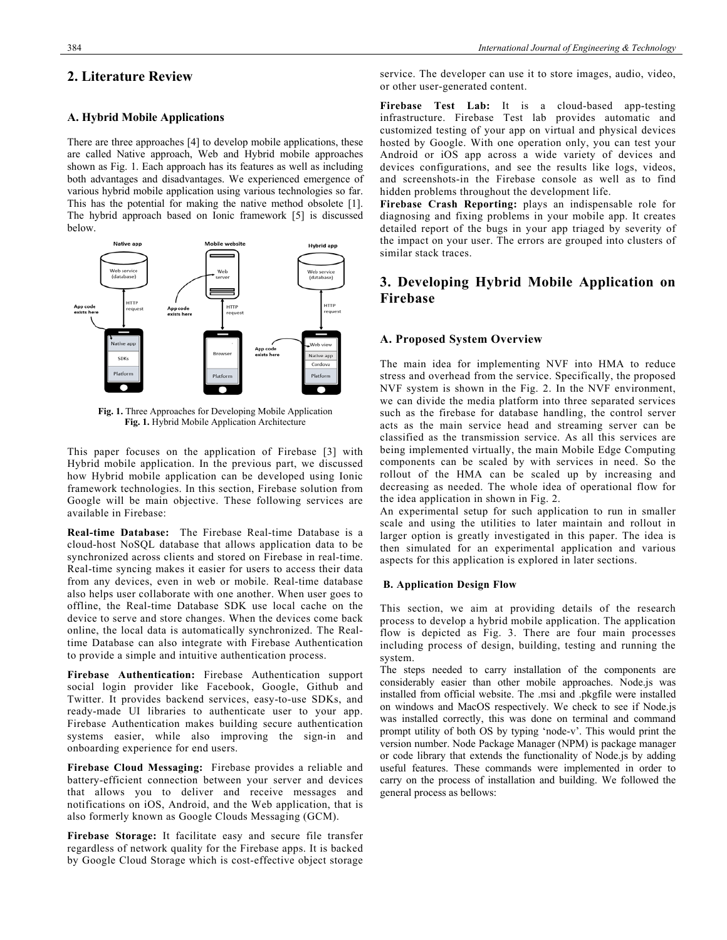# **2. Literature Review**

## **A. Hybrid Mobile Applications**

There are three approaches [4] to develop mobile applications, these are called Native approach, Web and Hybrid mobile approaches shown as Fig. 1. Each approach has its features as well as including both advantages and disadvantages. We experienced emergence of various hybrid mobile application using various technologies so far. This has the potential for making the native method obsolete [1]. The hybrid approach based on Ionic framework [5] is discussed below.



**Fig. 1.** Three Approaches for Developing Mobile Application **Fig. 1.** Hybrid Mobile Application Architecture

This paper focuses on the application of Firebase [3] with Hybrid mobile application. In the previous part, we discussed how Hybrid mobile application can be developed using Ionic framework technologies. In this section, Firebase solution from Google will be main objective. These following services are available in Firebase:

**Real-time Database:** The Firebase Real-time Database is a cloud-host NoSQL database that allows application data to be synchronized across clients and stored on Firebase in real-time. Real-time syncing makes it easier for users to access their data from any devices, even in web or mobile. Real-time database also helps user collaborate with one another. When user goes to offline, the Real-time Database SDK use local cache on the device to serve and store changes. When the devices come back online, the local data is automatically synchronized. The Realtime Database can also integrate with Firebase Authentication to provide a simple and intuitive authentication process.

**Firebase Authentication:** Firebase Authentication support social login provider like Facebook, Google, Github and Twitter. It provides backend services, easy-to-use SDKs, and ready-made UI libraries to authenticate user to your app. Firebase Authentication makes building secure authentication systems easier, while also improving the sign-in and onboarding experience for end users.

**Firebase Cloud Messaging:** Firebase provides a reliable and battery-efficient connection between your server and devices that allows you to deliver and receive messages and notifications on iOS, Android, and the Web application, that is also formerly known as Google Clouds Messaging (GCM).

**Firebase Storage:** It facilitate easy and secure file transfer regardless of network quality for the Firebase apps. It is backed by Google Cloud Storage which is cost-effective object storage

service. The developer can use it to store images, audio, video, or other user-generated content.

**Firebase Test Lab:** It is a cloud-based app-testing infrastructure. Firebase Test lab provides automatic and customized testing of your app on virtual and physical devices hosted by Google. With one operation only, you can test your Android or iOS app across a wide variety of devices and devices configurations, and see the results like logs, videos, and screenshots-in the Firebase console as well as to find hidden problems throughout the development life.

**Firebase Crash Reporting:** plays an indispensable role for diagnosing and fixing problems in your mobile app. It creates detailed report of the bugs in your app triaged by severity of the impact on your user. The errors are grouped into clusters of similar stack traces.

# **3. Developing Hybrid Mobile Application on Firebase**

## **A. Proposed System Overview**

The main idea for implementing NVF into HMA to reduce stress and overhead from the service. Specifically, the proposed NVF system is shown in the Fig. 2. In the NVF environment, we can divide the media platform into three separated services such as the firebase for database handling, the control server acts as the main service head and streaming server can be classified as the transmission service. As all this services are being implemented virtually, the main Mobile Edge Computing components can be scaled by with services in need. So the rollout of the HMA can be scaled up by increasing and decreasing as needed. The whole idea of operational flow for the idea application in shown in Fig. 2.

An experimental setup for such application to run in smaller scale and using the utilities to later maintain and rollout in larger option is greatly investigated in this paper. The idea is then simulated for an experimental application and various aspects for this application is explored in later sections.

#### **B. Application Design Flow**

This section, we aim at providing details of the research process to develop a hybrid mobile application. The application flow is depicted as Fig. 3. There are four main processes including process of design, building, testing and running the system.

The steps needed to carry installation of the components are considerably easier than other mobile approaches. Node.js was installed from official website. The .msi and .pkgfile were installed on windows and MacOS respectively. We check to see if Node.js was installed correctly, this was done on terminal and command prompt utility of both OS by typing 'node-v'. This would print the version number. Node Package Manager (NPM) is package manager or code library that extends the functionality of Node.js by adding useful features. These commands were implemented in order to carry on the process of installation and building. We followed the general process as bellows: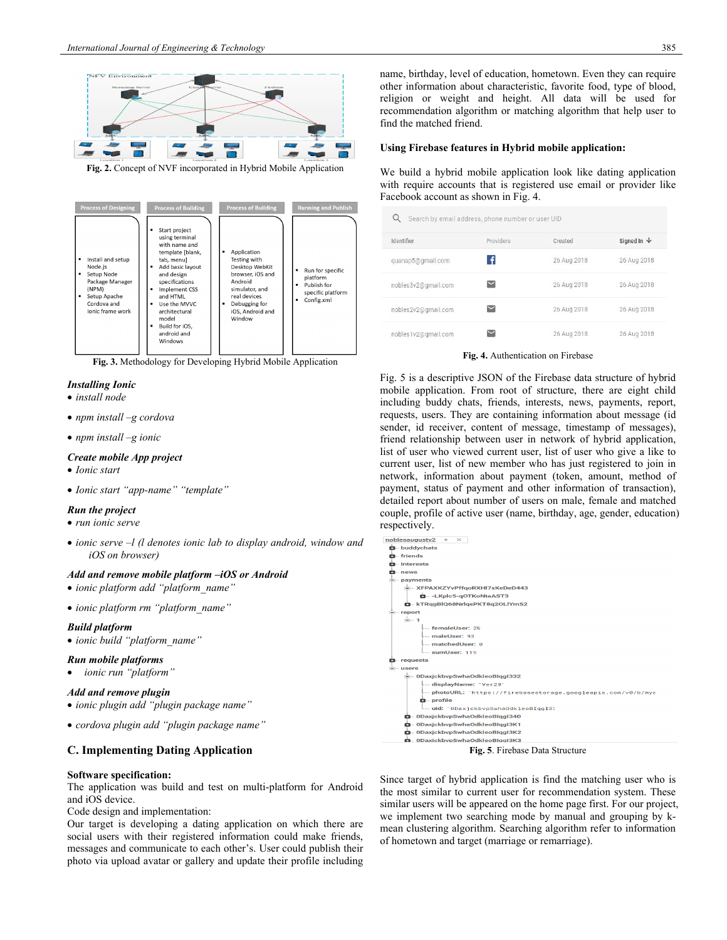

**Fig. 2.** Concept of NVF incorporated in Hybrid Mobile Application



**Fig. 3.** Methodology for Developing Hybrid Mobile Application

#### *Installing Ionic*

- *install node*
- *npm install –g cordova*
- *npm install –g ionic*

### *Create mobile App project*

- *Ionic start*
- *Ionic start "app-name" "template"*

# *Run the project*

- *run ionic serve*
- *ionic serve –l (l denotes ionic lab to display android, window and iOS on browser)*

#### *Add and remove mobile platform –iOS or Android*

- *ionic platform add "platform\_name"*
- *ionic platform rm "platform\_name"*

#### *Build platform*

• *ionic build "platform\_name"*

#### *Run mobile platforms*

• *ionic run "platform"*

## *Add and remove plugin*

- *ionic plugin add "plugin package name"*
- *cordova plugin add "plugin package name"*

## **C. Implementing Dating Application**

#### **Software specification:**

The application was build and test on multi-platform for Android and iOS device.

Code design and implementation:

Our target is developing a dating application on which there are social users with their registered information could make friends, messages and communicate to each other's. User could publish their photo via upload avatar or gallery and update their profile including

name, birthday, level of education, hometown. Even they can require other information about characteristic, favorite food, type of blood, religion or weight and height. All data will be used for recommendation algorithm or matching algorithm that help user to find the matched friend.

#### **Using Firebase features in Hybrid mobile application:**

We build a hybrid mobile application look like dating application with require accounts that is registered use email or provider like Facebook account as shown in Fig. 4.

| Identifier          | <b>Providers</b> | Created     | Signed In $\sqrt{}$ |
|---------------------|------------------|-------------|---------------------|
| quanap5@qmail.com   |                  | 26 Aug 2018 | 26 Aug 2018         |
| nobles3v2@gmail.com |                  | 26 Aug 2018 | 26 Aug 2018         |
| nobles2v2@gmail.com |                  | 26 Aug 2018 | 26 Aug 2018         |
| nobles1v2@gmail.com |                  | 26 Aug 2018 | 26 Aug 2018         |



Fig. 5 is a descriptive JSON of the Firebase data structure of hybrid mobile application. From root of structure, there are eight child including buddy chats, friends, interests, news, payments, report, requests, users. They are containing information about message (id sender, id receiver, content of message, timestamp of messages), friend relationship between user in network of hybrid application, list of user who viewed current user, list of user who give a like to current user, list of new member who has just registered to join in network, information about payment (token, amount, method of payment, status of payment and other information of transaction), detailed report about number of users on male, female and matched couple, profile of active user (name, birthday, age, gender, education) respectively.



**Fig. 5**. Firebase Data Structure

Since target of hybrid application is find the matching user who is the most similar to current user for recommendation system. These similar users will be appeared on the home page first. For our project, we implement two searching mode by manual and grouping by kmean clustering algorithm. Searching algorithm refer to information of hometown and target (marriage or remarriage).